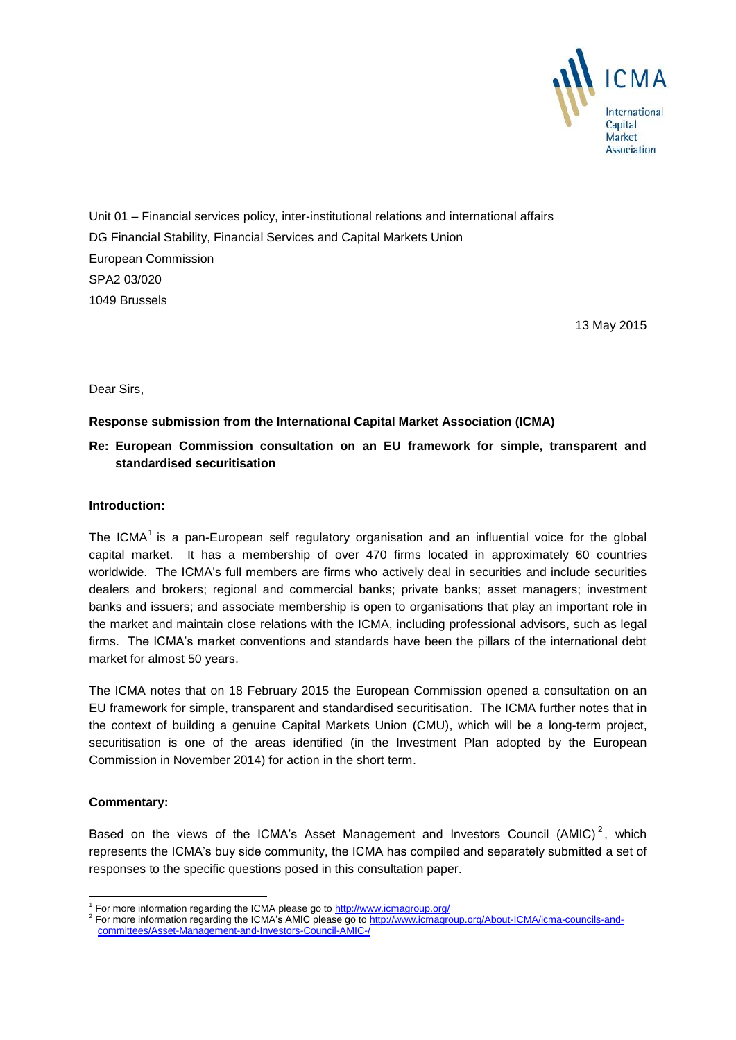

Unit 01 – Financial services policy, inter-institutional relations and international affairs DG Financial Stability, Financial Services and Capital Markets Union European Commission SPA2 03/020 1049 Brussels

13 May 2015

Dear Sirs,

# **Response submission from the International Capital Market Association (ICMA)**

# **Re: European Commission consultation on an EU framework for simple, transparent and standardised securitisation**

### **Introduction:**

The ICMA<sup>1</sup> is a pan-European self regulatory organisation and an influential voice for the global capital market. It has a membership of over 470 firms located in approximately 60 countries worldwide. The ICMA's full members are firms who actively deal in securities and include securities dealers and brokers; regional and commercial banks; private banks; asset managers; investment banks and issuers; and associate membership is open to organisations that play an important role in the market and maintain close relations with the ICMA, including professional advisors, such as legal firms. The ICMA's market conventions and standards have been the pillars of the international debt market for almost 50 years.

The ICMA notes that on 18 February 2015 the European Commission opened a consultation on an EU framework for simple, transparent and standardised securitisation. The ICMA further notes that in the context of building a genuine Capital Markets Union (CMU), which will be a long-term project, securitisation is one of the areas identified (in the Investment Plan adopted by the European Commission in November 2014) for action in the short term.

# **Commentary:**

-

Based on the views of the ICMA's Asset Management and Investors Council (AMIC)<sup>2</sup>, which represents the ICMA's buy side community, the ICMA has compiled and separately submitted a set of responses to the specific questions posed in this consultation paper.

<sup>&</sup>lt;sup>1</sup> For more information regarding the ICMA please go to<http://www.icmagroup.org/>

<sup>&</sup>lt;sup>2</sup> For more information regarding the ICMA's AMIC please go to [http://www.icmagroup.org/About-ICMA/icma-councils-and](http://www.icmagroup.org/About-ICMA/icma-councils-and-committees/Asset-Management-and-Investors-Council-AMIC-/)[committees/Asset-Management-and-Investors-Council-AMIC-/](http://www.icmagroup.org/About-ICMA/icma-councils-and-committees/Asset-Management-and-Investors-Council-AMIC-/)